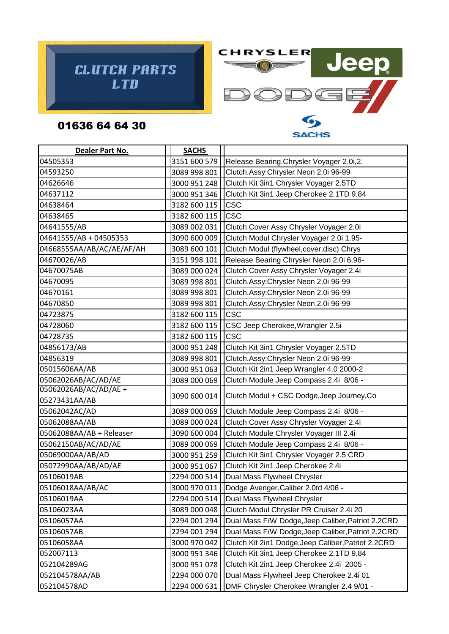



**SACHS** 

## 01636 64 64 30

| Dealer Part No.           | <b>SACHS</b> |                                                     |
|---------------------------|--------------|-----------------------------------------------------|
| 04505353                  | 3151 600 579 | Release Bearing. Chrysler Voyager 2.0i, 2.          |
| 04593250                  | 3089 998 801 | Clutch.Assy:Chrysler Neon 2.0i 96-99                |
| 04626646                  | 3000 951 248 | Clutch Kit 3in1 Chrysler Voyager 2.5TD              |
| 04637112                  | 3000 951 346 | Clutch Kit 3in1 Jeep Cherokee 2.1TD 9.84            |
| 04638464                  | 3182 600 115 | <b>CSC</b>                                          |
| 04638465                  | 3182 600 115 | <b>CSC</b>                                          |
| 04641555/AB               | 3089 002 031 | Clutch Cover Assy Chrysler Voyager 2.0i             |
| 04641555/AB + 04505353    | 3090 600 009 | Clutch Modul Chrysler Voyager 2.0i 1.95-            |
| 04668555AA/AB/AC/AE/AF/AH | 3089 600 101 | Clutch Modul (flywheel, cover, disc) Chrys          |
| 04670026/AB               | 3151 998 101 | Release Bearing Chrysler Neon 2.0i 6.96-            |
| 04670075AB                | 3089 000 024 | Clutch Cover Assy Chrysler Voyager 2.4i             |
| 04670095                  | 3089 998 801 | Clutch.Assy:Chrysler Neon 2.0i 96-99                |
| 04670161                  | 3089 998 801 | Clutch.Assy:Chrysler Neon 2.0i 96-99                |
| 04670850                  | 3089 998 801 | Clutch.Assy:Chrysler Neon 2.0i 96-99                |
| 04723875                  | 3182 600 115 | <b>CSC</b>                                          |
| 04728060                  | 3182 600 115 | CSC Jeep Cherokee, Wrangler 2.5i                    |
| 04728735                  | 3182 600 115 | <b>CSC</b>                                          |
| 04856173/AB               | 3000 951 248 | Clutch Kit 3in1 Chrysler Voyager 2.5TD              |
| 04856319                  | 3089 998 801 | Clutch.Assy:Chrysler Neon 2.0i 96-99                |
| 05015606AA/AB             | 3000 951 063 | Clutch Kit 2in1 Jeep Wrangler 4.0 2000-2            |
| 05062026AB/AC/AD/AE       | 3089 000 069 | Clutch Module Jeep Compass 2.4i 8/06 -              |
| 05062026AB/AC/AD/AE +     | 3090 600 014 | Clutch Modul + CSC Dodge, Jeep Journey, Co          |
| 05273431AA/AB             |              |                                                     |
| 05062042AC/AD             | 3089 000 069 | Clutch Module Jeep Compass 2.4i 8/06 -              |
| 05062088AA/AB             | 3089 000 024 | Clutch Cover Assy Chrysler Voyager 2.4i             |
| 05062088AA/AB + Releaser  | 3090 600 004 | Clutch Module Chrysler Voyager III 2.4i             |
| 05062150AB/AC/AD/AE       | 3089 000 069 | Clutch Module Jeep Compass 2.4i 8/06 -              |
| 05069000AA/AB/AD          | 3000 951 259 | Clutch Kit 3in1 Chrysler Voyager 2.5 CRD            |
| 05072990AA/AB/AD/AE       | 3000 951 067 | Clutch Kit 2in1 Jeep Cherokee 2.4i                  |
| 05106019AB                | 2294 000 514 | Dual Mass Flywheel Chrysler                         |
| 05106018AA/AB/AC          | 3000 970 011 | Dodge Avenger, Caliber 2.0td 4/06 -                 |
| 05106019AA                | 2294 000 514 | Dual Mass Flywheel Chrysler                         |
| 05106023AA                | 3089 000 048 | Clutch Modul Chrysler PR Cruiser 2.4i 20            |
| 05106057AA                | 2294 001 294 | Dual Mass F/W Dodge, Jeep Caliber, Patriot 2.2CRD   |
| 05106057AB                | 2294 001 294 | Dual Mass F/W Dodge, Jeep Caliber, Patriot 2.2CRD   |
| 05106058AA                | 3000 970 042 | Clutch Kit 2in1 Dodge, Jeep Caliber, Patriot 2.2CRD |
| 052007113                 | 3000 951 346 | Clutch Kit 3in1 Jeep Cherokee 2.1TD 9.84            |
| 052104289AG               | 3000 951 078 | Clutch Kit 2in1 Jeep Cherokee 2.4i 2005 -           |
| 052104578AA/AB            | 2294 000 070 | Dual Mass Flywheel Jeep Cherokee 2.4i 01            |
| 052104578AD               | 2294 000 631 | DMF Chrysler Cherokee Wrangler 2.4 9/01 -           |